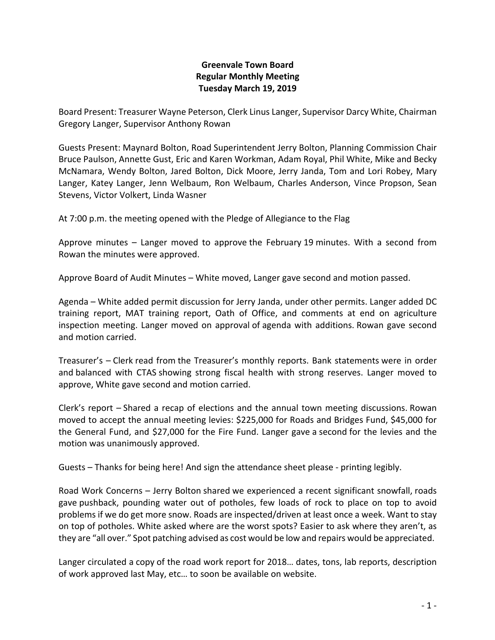## **Greenvale Town Board Regular Monthly Meeting Tuesday March 19, 2019**

Board Present: Treasurer Wayne Peterson, Clerk Linus Langer, Supervisor Darcy White, Chairman Gregory Langer, Supervisor Anthony Rowan

Guests Present: Maynard Bolton, Road Superintendent Jerry Bolton, Planning Commission Chair Bruce Paulson, Annette Gust, Eric and Karen Workman, Adam Royal, Phil White, Mike and Becky McNamara, Wendy Bolton, Jared Bolton, Dick Moore, Jerry Janda, Tom and Lori Robey, Mary Langer, Katey Langer, Jenn Welbaum, Ron Welbaum, Charles Anderson, Vince Propson, Sean Stevens, Victor Volkert, Linda Wasner

At 7:00 p.m. the meeting opened with the Pledge of Allegiance to the Flag

Approve minutes – Langer moved to approve the February 19 minutes. With a second from Rowan the minutes were approved.

Approve Board of Audit Minutes – White moved, Langer gave second and motion passed.

Agenda – White added permit discussion for Jerry Janda, under other permits. Langer added DC training report, MAT training report, Oath of Office, and comments at end on agriculture inspection meeting. Langer moved on approval of agenda with additions. Rowan gave second and motion carried.

Treasurer's – Clerk read from the Treasurer's monthly reports. Bank statements were in order and balanced with CTAS showing strong fiscal health with strong reserves. Langer moved to approve, White gave second and motion carried.

Clerk's report – Shared a recap of elections and the annual town meeting discussions. Rowan moved to accept the annual meeting levies: \$225,000 for Roads and Bridges Fund, \$45,000 for the General Fund, and \$27,000 for the Fire Fund. Langer gave a second for the levies and the motion was unanimously approved.

Guests – Thanks for being here! And sign the attendance sheet please - printing legibly.

Road Work Concerns – Jerry Bolton shared we experienced a recent significant snowfall, roads gave pushback, pounding water out of potholes, few loads of rock to place on top to avoid problems if we do get more snow. Roads are inspected/driven at least once a week. Want to stay on top of potholes. White asked where are the worst spots? Easier to ask where they aren't, as they are "all over." Spot patching advised as cost would be low and repairs would be appreciated.

Langer circulated a copy of the road work report for 2018… dates, tons, lab reports, description of work approved last May, etc… to soon be available on website.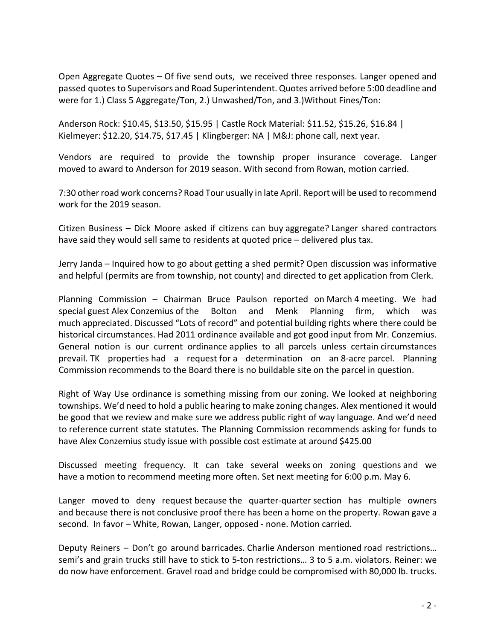Open Aggregate Quotes – Of five send outs, we received three responses. Langer opened and passed quotes to Supervisors and Road Superintendent. Quotes arrived before 5:00 deadline and were for 1.) Class 5 Aggregate/Ton, 2.) Unwashed/Ton, and 3.)Without Fines/Ton:

Anderson Rock: \$10.45, \$13.50, \$15.95 | Castle Rock Material: \$11.52, \$15.26, \$16.84 | Kielmeyer: \$12.20, \$14.75, \$17.45 | Klingberger: NA | M&J: phone call, next year.

Vendors are required to provide the township proper insurance coverage. Langer moved to award to Anderson for 2019 season. With second from Rowan, motion carried.

7:30 other road work concerns? Road Tour usually in late April. Report will be used to recommend work for the 2019 season.

Citizen Business – Dick Moore asked if citizens can buy aggregate? Langer shared contractors have said they would sell same to residents at quoted price – delivered plus tax.

Jerry Janda – Inquired how to go about getting a shed permit? Open discussion was informative and helpful (permits are from township, not county) and directed to get application from Clerk.

Planning Commission – Chairman Bruce Paulson reported on March 4 meeting. We had special guest Alex Conzemius of the Bolton and Menk Planning firm, which was much appreciated. Discussed "Lots of record" and potential building rights where there could be historical circumstances. Had 2011 ordinance available and got good input from Mr. Conzemius. General notion is our current ordinance applies to all parcels unless certain circumstances prevail. TK properties had a request for a determination on an 8-acre parcel. Planning Commission recommends to the Board there is no buildable site on the parcel in question.

Right of Way Use ordinance is something missing from our zoning. We looked at neighboring townships. We'd need to hold a public hearing to make zoning changes. Alex mentioned it would be good that we review and make sure we address public right of way language. And we'd need to reference current state statutes. The Planning Commission recommends asking for funds to have Alex Conzemius study issue with possible cost estimate at around \$425.00

Discussed meeting frequency. It can take several weeks on zoning questions and we have a motion to recommend meeting more often. Set next meeting for 6:00 p.m. May 6.

Langer moved to deny request because the quarter-quarter section has multiple owners and because there is not conclusive proof there has been a home on the property. Rowan gave a second. In favor – White, Rowan, Langer, opposed - none. Motion carried.

Deputy Reiners – Don't go around barricades. Charlie Anderson mentioned road restrictions… semi's and grain trucks still have to stick to 5-ton restrictions… 3 to 5 a.m. violators. Reiner: we do now have enforcement. Gravel road and bridge could be compromised with 80,000 lb. trucks.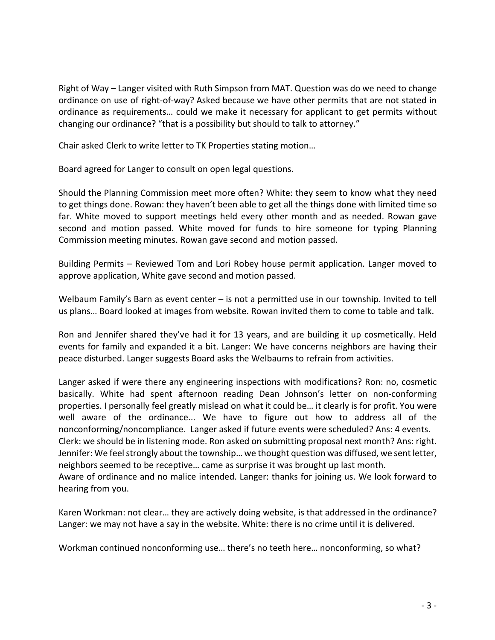Right of Way – Langer visited with Ruth Simpson from MAT. Question was do we need to change ordinance on use of right-of-way? Asked because we have other permits that are not stated in ordinance as requirements… could we make it necessary for applicant to get permits without changing our ordinance? "that is a possibility but should to talk to attorney."

Chair asked Clerk to write letter to TK Properties stating motion…

Board agreed for Langer to consult on open legal questions.

Should the Planning Commission meet more often? White: they seem to know what they need to get things done. Rowan: they haven't been able to get all the things done with limited time so far. White moved to support meetings held every other month and as needed. Rowan gave second and motion passed. White moved for funds to hire someone for typing Planning Commission meeting minutes. Rowan gave second and motion passed.

Building Permits – Reviewed Tom and Lori Robey house permit application. Langer moved to approve application, White gave second and motion passed.

Welbaum Family's Barn as event center – is not a permitted use in our township. Invited to tell us plans… Board looked at images from website. Rowan invited them to come to table and talk.

Ron and Jennifer shared they've had it for 13 years, and are building it up cosmetically. Held events for family and expanded it a bit. Langer: We have concerns neighbors are having their peace disturbed. Langer suggests Board asks the Welbaums to refrain from activities.

Langer asked if were there any engineering inspections with modifications? Ron: no, cosmetic basically. White had spent afternoon reading Dean Johnson's letter on non-conforming properties. I personally feel greatly mislead on what it could be… it clearly is for profit. You were well aware of the ordinance... We have to figure out how to address all of the nonconforming/noncompliance. Langer asked if future events were scheduled? Ans: 4 events. Clerk: we should be in listening mode. Ron asked on submitting proposal next month? Ans: right. Jennifer: We feel strongly about the township… we thought question was diffused, we sent letter, neighbors seemed to be receptive… came as surprise it was brought up last month. Aware of ordinance and no malice intended. Langer: thanks for joining us. We look forward to hearing from you.

Karen Workman: not clear… they are actively doing website, is that addressed in the ordinance? Langer: we may not have a say in the website. White: there is no crime until it is delivered.

Workman continued nonconforming use… there's no teeth here… nonconforming, so what?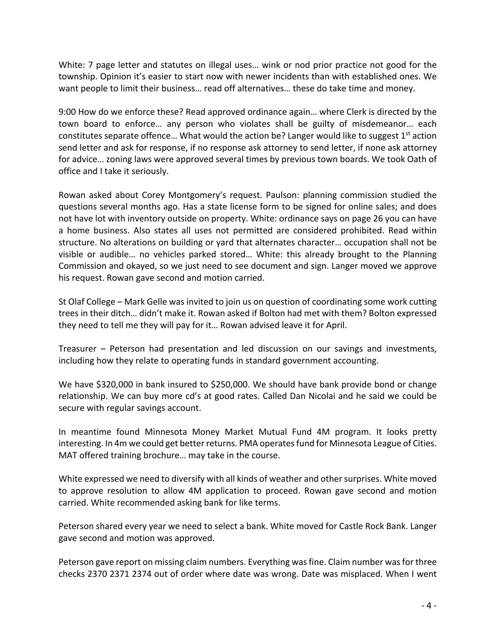White: 7 page letter and statutes on illegal uses... wink or nod prior practice not good for the township. Opinion it's easier to start now with newer incidents than with established ones. We want people to limit their business… read off alternatives… these do take time and money.

9:00 How do we enforce these? Read approved ordinance again… where Clerk is directed by the town board to enforce… any person who violates shall be guilty of misdemeanor… each constitutes separate offence... What would the action be? Langer would like to suggest  $1<sup>st</sup>$  action send letter and ask for response, if no response ask attorney to send letter, if none ask attorney for advice… zoning laws were approved several times by previous town boards. We took Oath of office and I take it seriously.

Rowan asked about Corey Montgomery's request. Paulson: planning commission studied the questions several months ago. Has a state license form to be signed for online sales; and does not have lot with inventory outside on property. White: ordinance says on page 26 you can have a home business. Also states all uses not permitted are considered prohibited. Read within structure. No alterations on building or yard that alternates character… occupation shall not be visible or audible… no vehicles parked stored… White: this already brought to the Planning Commission and okayed, so we just need to see document and sign. Langer moved we approve his request. Rowan gave second and motion carried.

St Olaf College – Mark Gelle was invited to join us on question of coordinating some work cutting trees in their ditch… didn't make it. Rowan asked if Bolton had met with them? Bolton expressed they need to tell me they will pay for it… Rowan advised leave it for April.

Treasurer – Peterson had presentation and led discussion on our savings and investments, including how they relate to operating funds in standard government accounting.

We have \$320,000 in bank insured to \$250,000. We should have bank provide bond or change relationship. We can buy more cd's at good rates. Called Dan Nicolai and he said we could be secure with regular savings account.

In meantime found Minnesota Money Market Mutual Fund 4M program. It looks pretty interesting. In 4m we could get better returns. PMA operates fund for Minnesota League of Cities. MAT offered training brochure… may take in the course.

White expressed we need to diversify with all kinds of weather and other surprises. White moved to approve resolution to allow 4M application to proceed. Rowan gave second and motion carried. White recommended asking bank for like terms.

Peterson shared every year we need to select a bank. White moved for Castle Rock Bank. Langer gave second and motion was approved.

Peterson gave report on missing claim numbers. Everything was fine. Claim number was for three checks 2370 2371 2374 out of order where date was wrong. Date was misplaced. When I went